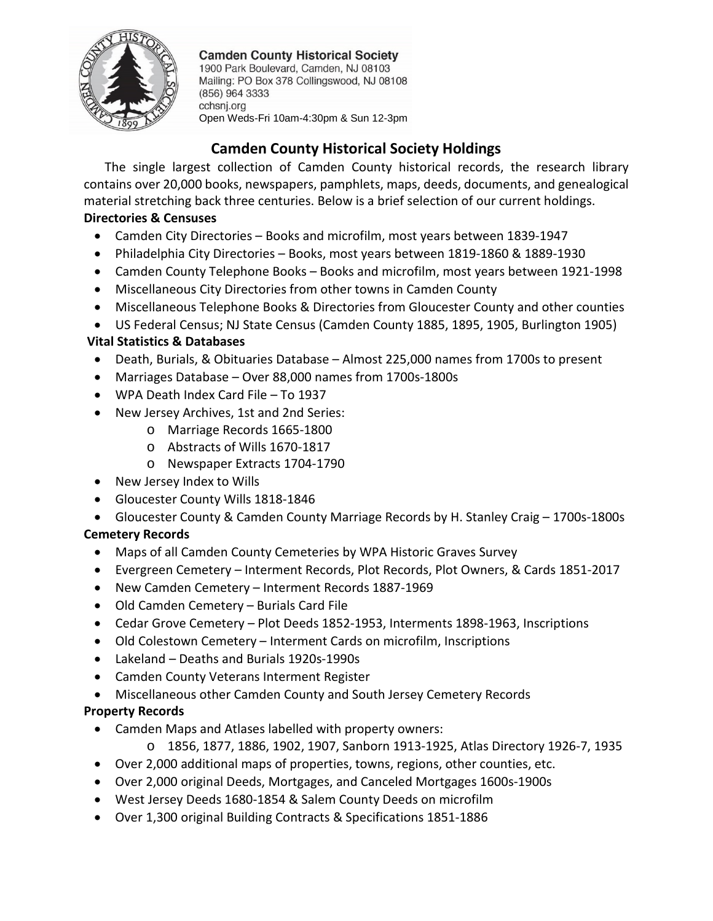

**Camden County Historical Society** 

1900 Park Boulevard, Camden, NJ 08103 Mailing: PO Box 378 Collingswood, NJ 08108 (856) 964 3333 cchsnj.org Open Weds-Fri 10am-4:30pm & Sun 12-3pm

# **Camden County Historical Society Holdings**

The single largest collection of Camden County historical records, the research library contains over 20,000 books, newspapers, pamphlets, maps, deeds, documents, and genealogical material stretching back three centuries. Below is a brief selection of our current holdings. **Directories & Censuses**

### • Camden City Directories – Books and microfilm, most years between 1839-1947

- Philadelphia City Directories Books, most years between 1819-1860 & 1889-1930
- Camden County Telephone Books Books and microfilm, most years between 1921-1998
- Miscellaneous City Directories from other towns in Camden County
- Miscellaneous Telephone Books & Directories from Gloucester County and other counties
- US Federal Census; NJ State Census (Camden County 1885, 1895, 1905, Burlington 1905)

## **Vital Statistics & Databases**

- Death, Burials, & Obituaries Database Almost 225,000 names from 1700s to present
- Marriages Database Over 88,000 names from 1700s-1800s
- WPA Death Index Card File To 1937
- New Jersey Archives, 1st and 2nd Series:
	- o Marriage Records 1665-1800
	- o Abstracts of Wills 1670-1817
	- o Newspaper Extracts 1704-1790
- New Jersey Index to Wills
- Gloucester County Wills 1818-1846

### • Gloucester County & Camden County Marriage Records by H. Stanley Craig – 1700s-1800s

## **Cemetery Records**

- Maps of all Camden County Cemeteries by WPA Historic Graves Survey
- Evergreen Cemetery Interment Records, Plot Records, Plot Owners, & Cards 1851-2017
- New Camden Cemetery Interment Records 1887-1969
- Old Camden Cemetery Burials Card File
- Cedar Grove Cemetery Plot Deeds 1852-1953, Interments 1898-1963, Inscriptions
- Old Colestown Cemetery Interment Cards on microfilm, Inscriptions
- Lakeland Deaths and Burials 1920s-1990s
- Camden County Veterans Interment Register
- Miscellaneous other Camden County and South Jersey Cemetery Records

### **Property Records**

- Camden Maps and Atlases labelled with property owners:
	- o 1856, 1877, 1886, 1902, 1907, Sanborn 1913-1925, Atlas Directory 1926-7, 1935
- Over 2,000 additional maps of properties, towns, regions, other counties, etc.
- Over 2,000 original Deeds, Mortgages, and Canceled Mortgages 1600s-1900s
- West Jersey Deeds 1680-1854 & Salem County Deeds on microfilm
- Over 1,300 original Building Contracts & Specifications 1851-1886